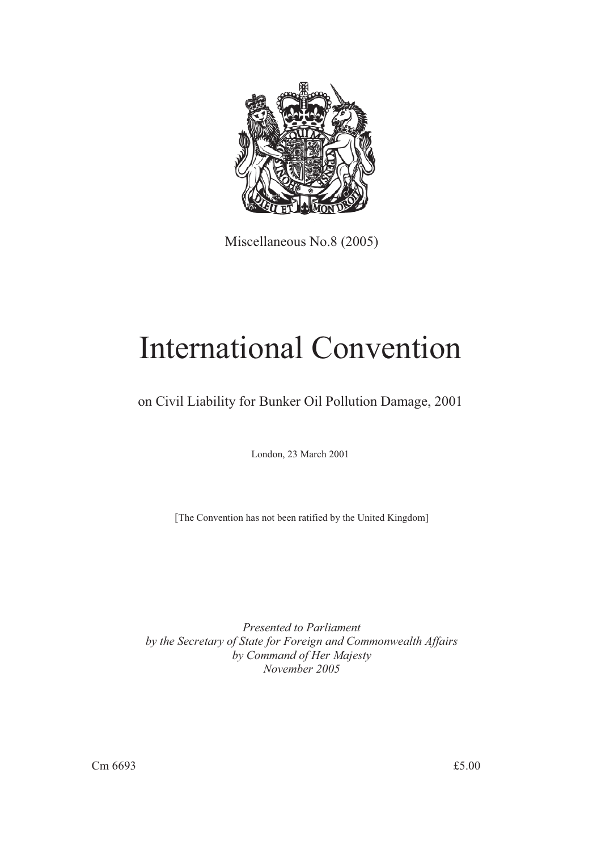

Miscellaneous No.8 (2005)

# International Convention

# on Civil Liability for Bunker Oil Pollution Damage, 2001

London, 23 March 2001

[The Convention has not been ratified by the United Kingdom]

*Presented to Parliament by the Secretary of State for Foreign and Commonwealth Affairs by Command of Her Majesty November 2005*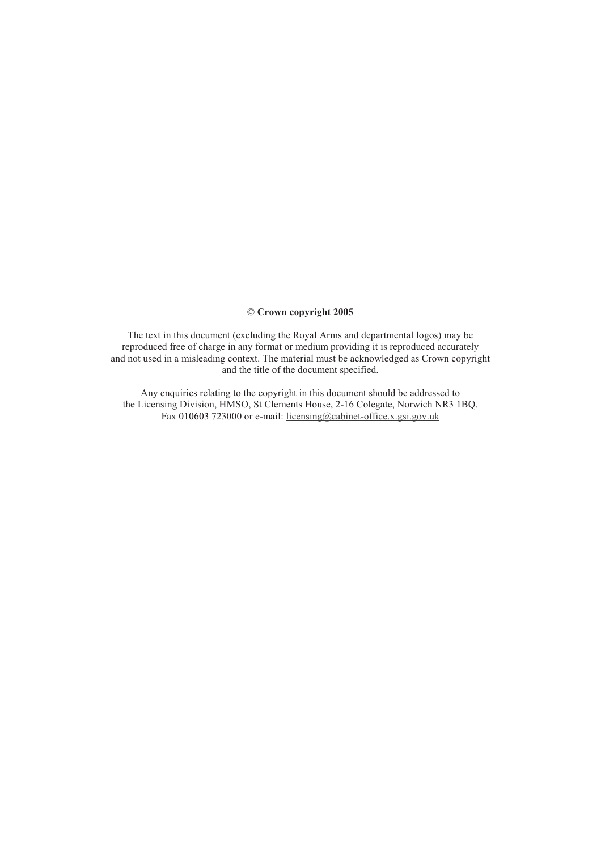#### © **Crown copyright 2005**

The text in this document (excluding the Royal Arms and departmental logos) may be reproduced free of charge in any format or medium providing it is reproduced accurately and not used in a misleading context. The material must be acknowledged as Crown copyright and the title of the document specified.

Any enquiries relating to the copyright in this document should be addressed to the Licensing Division, HMSO, St Clements House, 2-16 Colegate, Norwich NR3 1BQ. Fax 010603 723000 or e-mail: licensing@cabinet-office.x.gsi.gov.uk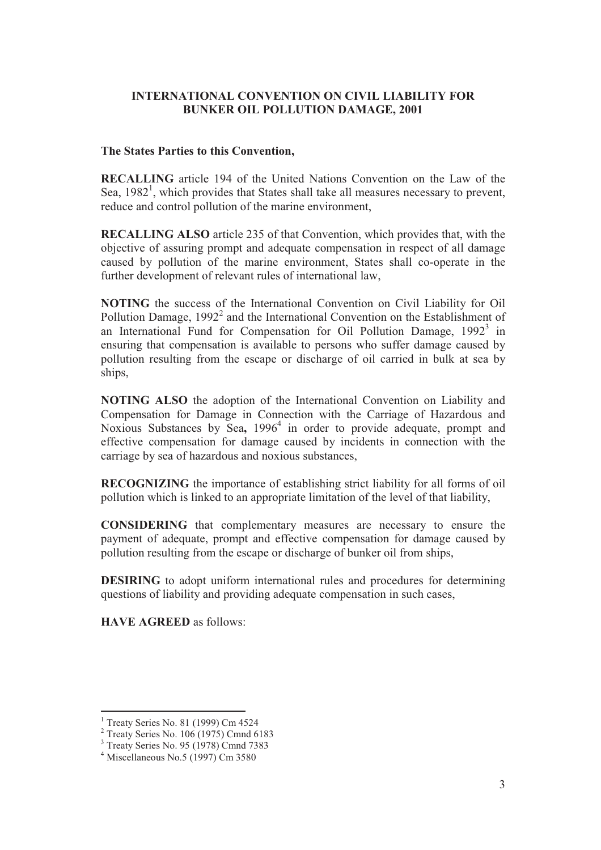# **INTERNATIONAL CONVENTION ON CIVIL LIABILITY FOR BUNKER OIL POLLUTION DAMAGE, 2001**

#### **The States Parties to this Convention,**

**RECALLING** article 194 of the United Nations Convention on the Law of the Sea,  $1982<sup>1</sup>$ , which provides that States shall take all measures necessary to prevent, reduce and control pollution of the marine environment,

**RECALLING ALSO** article 235 of that Convention, which provides that, with the objective of assuring prompt and adequate compensation in respect of all damage caused by pollution of the marine environment, States shall co-operate in the further development of relevant rules of international law,

**NOTING** the success of the International Convention on Civil Liability for Oil Pollution Damage,  $1992<sup>2</sup>$  and the International Convention on the Establishment of an International Fund for Compensation for Oil Pollution Damage, 1992<sup>3</sup> in ensuring that compensation is available to persons who suffer damage caused by pollution resulting from the escape or discharge of oil carried in bulk at sea by ships,

**NOTING ALSO** the adoption of the International Convention on Liability and Compensation for Damage in Connection with the Carriage of Hazardous and Noxious Substances by Sea, 1996<sup>4</sup> in order to provide adequate, prompt and effective compensation for damage caused by incidents in connection with the carriage by sea of hazardous and noxious substances,

**RECOGNIZING** the importance of establishing strict liability for all forms of oil pollution which is linked to an appropriate limitation of the level of that liability,

**CONSIDERING** that complementary measures are necessary to ensure the payment of adequate, prompt and effective compensation for damage caused by pollution resulting from the escape or discharge of bunker oil from ships,

**DESIRING** to adopt uniform international rules and procedures for determining questions of liability and providing adequate compensation in such cases,

**HAVE AGREED** as follows:

 $\overline{a}$ 

<sup>&</sup>lt;sup>1</sup> Treaty Series No. 81 (1999) Cm 4524

<sup>&</sup>lt;sup>2</sup> Treaty Series No. 106 (1975) Cmnd 6183

<sup>3</sup> Treaty Series No. 95 (1978) Cmnd 7383

<sup>4</sup> Miscellaneous No.5 (1997) Cm 3580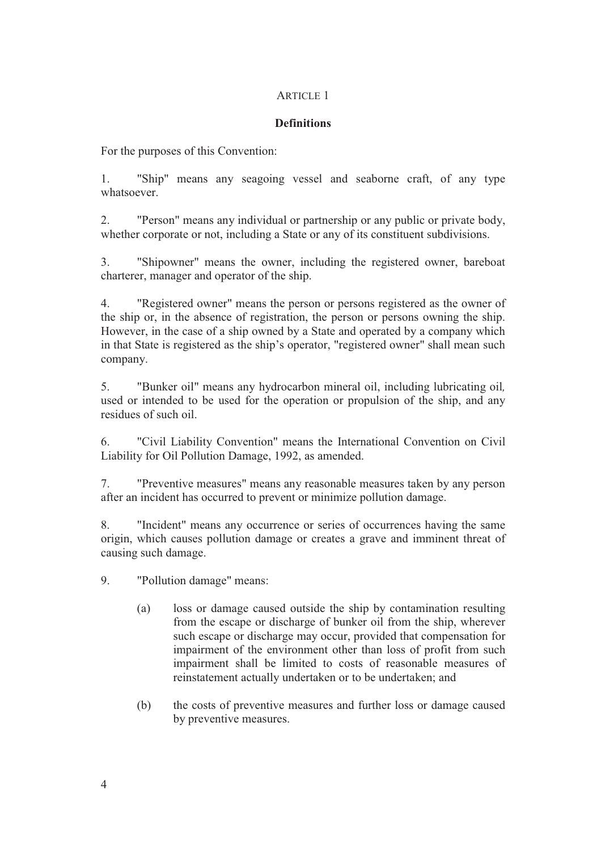# **Definitions**

For the purposes of this Convention:

1. "Ship" means any seagoing vessel and seaborne craft, of any type whatsoever.

2. "Person" means any individual or partnership or any public or private body, whether corporate or not, including a State or any of its constituent subdivisions.

3. "Shipowner" means the owner, including the registered owner, bareboat charterer, manager and operator of the ship.

4. "Registered owner" means the person or persons registered as the owner of the ship or, in the absence of registration, the person or persons owning the ship. However, in the case of a ship owned by a State and operated by a company which in that State is registered as the ship's operator, "registered owner" shall mean such company.

5. "Bunker oil" means any hydrocarbon mineral oil, including lubricating oil*,* used or intended to be used for the operation or propulsion of the ship, and any residues of such oil.

6. "Civil Liability Convention" means the International Convention on Civil Liability for Oil Pollution Damage, 1992, as amended.

7. "Preventive measures" means any reasonable measures taken by any person after an incident has occurred to prevent or minimize pollution damage.

8. "Incident" means any occurrence or series of occurrences having the same origin, which causes pollution damage or creates a grave and imminent threat of causing such damage.

9. "Pollution damage" means:

- (a) loss or damage caused outside the ship by contamination resulting from the escape or discharge of bunker oil from the ship, wherever such escape or discharge may occur, provided that compensation for impairment of the environment other than loss of profit from such impairment shall be limited to costs of reasonable measures of reinstatement actually undertaken or to be undertaken; and
- (b) the costs of preventive measures and further loss or damage caused by preventive measures.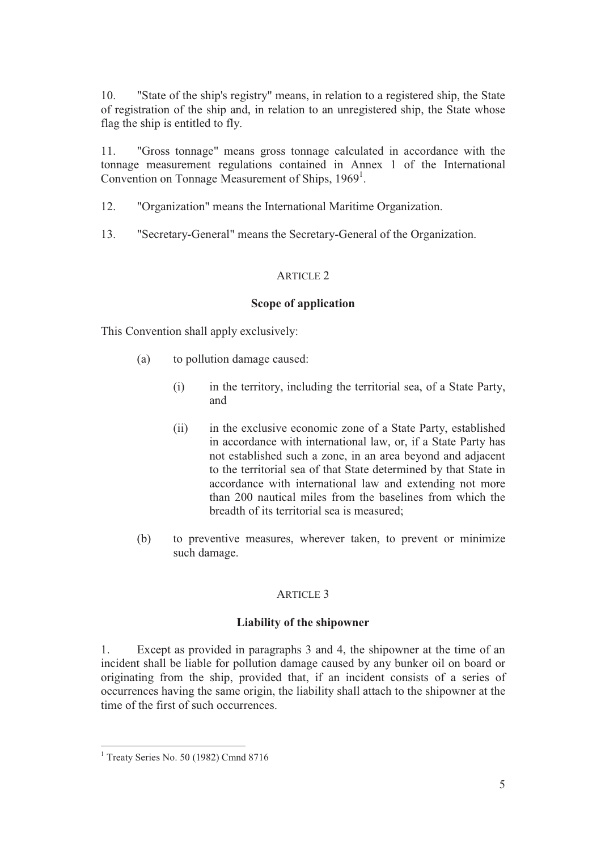10. "State of the ship's registry" means, in relation to a registered ship, the State of registration of the ship and, in relation to an unregistered ship, the State whose flag the ship is entitled to fly.

11. "Gross tonnage" means gross tonnage calculated in accordance with the tonnage measurement regulations contained in Annex 1 of the International Convention on Tonnage Measurement of Ships, 1969<sup>1</sup>.

- 12. "Organization" means the International Maritime Organization.
- 13. "Secretary-General" means the Secretary-General of the Organization.

# ARTICLE 2

#### **Scope of application**

This Convention shall apply exclusively:

- (a) to pollution damage caused:
	- (i) in the territory, including the territorial sea, of a State Party, and
	- (ii) in the exclusive economic zone of a State Party, established in accordance with international law, or, if a State Party has not established such a zone, in an area beyond and adjacent to the territorial sea of that State determined by that State in accordance with international law and extending not more than 200 nautical miles from the baselines from which the breadth of its territorial sea is measured;
- (b) to preventive measures, wherever taken, to prevent or minimize such damage.

#### ARTICLE 3

#### **Liability of the shipowner**

1. Except as provided in paragraphs 3 and 4, the shipowner at the time of an incident shall be liable for pollution damage caused by any bunker oil on board or originating from the ship, provided that, if an incident consists of a series of occurrences having the same origin, the liability shall attach to the shipowner at the time of the first of such occurrences.

 $\overline{a}$ <sup>1</sup> Treaty Series No. 50 (1982) Cmnd 8716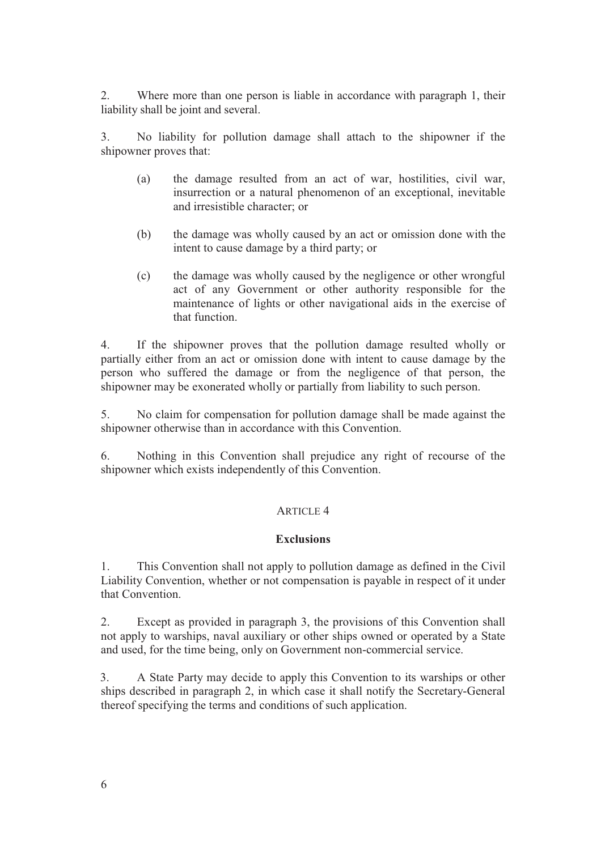2. Where more than one person is liable in accordance with paragraph 1, their liability shall be joint and several.

3. No liability for pollution damage shall attach to the shipowner if the shipowner proves that:

- (a) the damage resulted from an act of war, hostilities, civil war, insurrection or a natural phenomenon of an exceptional, inevitable and irresistible character; or
- (b) the damage was wholly caused by an act or omission done with the intent to cause damage by a third party; or
- (c) the damage was wholly caused by the negligence or other wrongful act of any Government or other authority responsible for the maintenance of lights or other navigational aids in the exercise of that function.

4. If the shipowner proves that the pollution damage resulted wholly or partially either from an act or omission done with intent to cause damage by the person who suffered the damage or from the negligence of that person, the shipowner may be exonerated wholly or partially from liability to such person.

5. No claim for compensation for pollution damage shall be made against the shipowner otherwise than in accordance with this Convention.

6. Nothing in this Convention shall prejudice any right of recourse of the shipowner which exists independently of this Convention.

# ARTICLE 4

#### **Exclusions**

1. This Convention shall not apply to pollution damage as defined in the Civil Liability Convention, whether or not compensation is payable in respect of it under that Convention.

2. Except as provided in paragraph 3, the provisions of this Convention shall not apply to warships, naval auxiliary or other ships owned or operated by a State and used, for the time being, only on Government non-commercial service.

3. A State Party may decide to apply this Convention to its warships or other ships described in paragraph 2, in which case it shall notify the Secretary-General thereof specifying the terms and conditions of such application.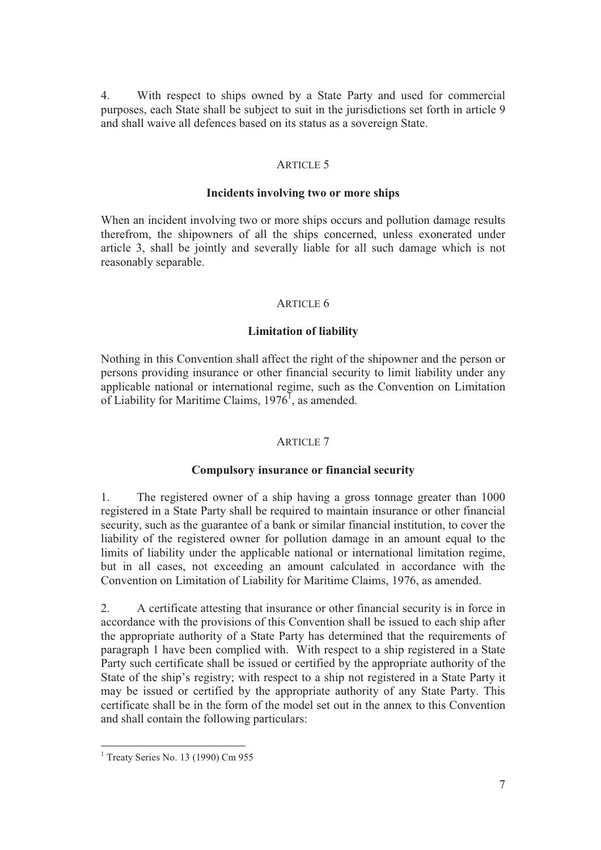4. With respect to ships owned by a State Party and used for commercial purposes, each State shall be subject to suit in the jurisdictions set forth in article 9 and shall waive all defences based on its status as a sovereign State.

#### ARTICLE 5

#### **Incidents involving two or more ships**

When an incident involving two or more ships occurs and pollution damage results therefrom, the shipowners of all the ships concerned, unless exonerated under article 3, shall be jointly and severally liable for all such damage which is not reasonably separable.

#### ARTICLE 6

#### **Limitation of liability**

Nothing in this Convention shall affect the right of the shipowner and the person or persons providing insurance or other financial security to limit liability under any applicable national or international regime, such as the Convention on Limitation of Liability for Maritime Claims,  $1976^{\text{T}}$ , as amended.

#### ARTICLE 7

#### **Compulsory insurance or financial security**

1. The registered owner of a ship having a gross tonnage greater than 1000 registered in a State Party shall be required to maintain insurance or other financial security, such as the guarantee of a bank or similar financial institution, to cover the liability of the registered owner for pollution damage in an amount equal to the limits of liability under the applicable national or international limitation regime, but in all cases, not exceeding an amount calculated in accordance with the Convention on Limitation of Liability for Maritime Claims, 1976, as amended.

2. A certificate attesting that insurance or other financial security is in force in accordance with the provisions of this Convention shall be issued to each ship after the appropriate authority of a State Party has determined that the requirements of paragraph 1 have been complied with. With respect to a ship registered in a State Party such certificate shall be issued or certified by the appropriate authority of the State of the ship's registry; with respect to a ship not registered in a State Party it may be issued or certified by the appropriate authority of any State Party. This certificate shall be in the form of the model set out in the annex to this Convention and shall contain the following particulars:

 1 Treaty Series No. 13 (1990) Cm 955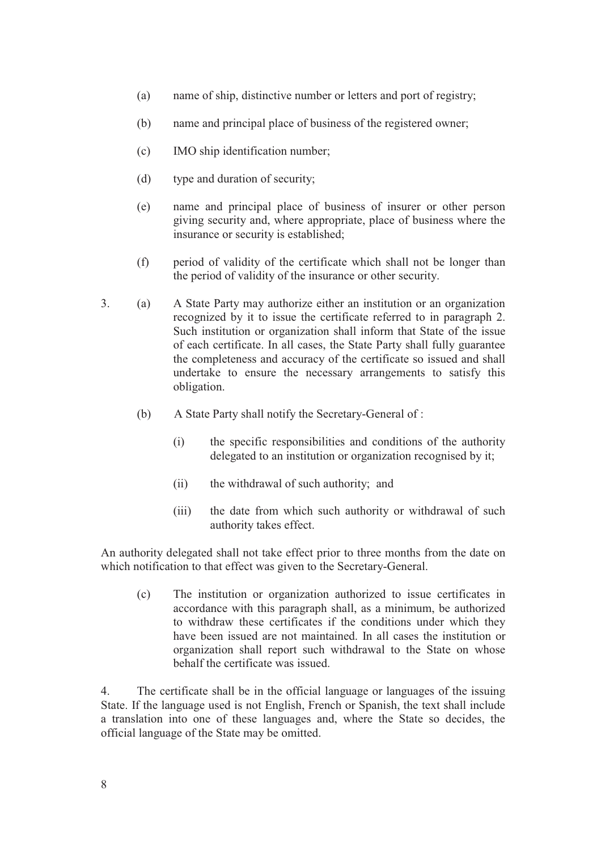- (a) name of ship, distinctive number or letters and port of registry;
- (b) name and principal place of business of the registered owner;
- (c) IMO ship identification number;
- (d) type and duration of security;
- (e) name and principal place of business of insurer or other person giving security and, where appropriate, place of business where the insurance or security is established;
- (f) period of validity of the certificate which shall not be longer than the period of validity of the insurance or other security.
- 3. (a) A State Party may authorize either an institution or an organization recognized by it to issue the certificate referred to in paragraph 2. Such institution or organization shall inform that State of the issue of each certificate. In all cases, the State Party shall fully guarantee the completeness and accuracy of the certificate so issued and shall undertake to ensure the necessary arrangements to satisfy this obligation.
	- (b) A State Party shall notify the Secretary-General of :
		- (i) the specific responsibilities and conditions of the authority delegated to an institution or organization recognised by it;
		- (ii) the withdrawal of such authority; and
		- (iii) the date from which such authority or withdrawal of such authority takes effect.

An authority delegated shall not take effect prior to three months from the date on which notification to that effect was given to the Secretary-General.

 (c) The institution or organization authorized to issue certificates in accordance with this paragraph shall, as a minimum, be authorized to withdraw these certificates if the conditions under which they have been issued are not maintained. In all cases the institution or organization shall report such withdrawal to the State on whose behalf the certificate was issued.

4. The certificate shall be in the official language or languages of the issuing State. If the language used is not English, French or Spanish, the text shall include a translation into one of these languages and, where the State so decides, the official language of the State may be omitted.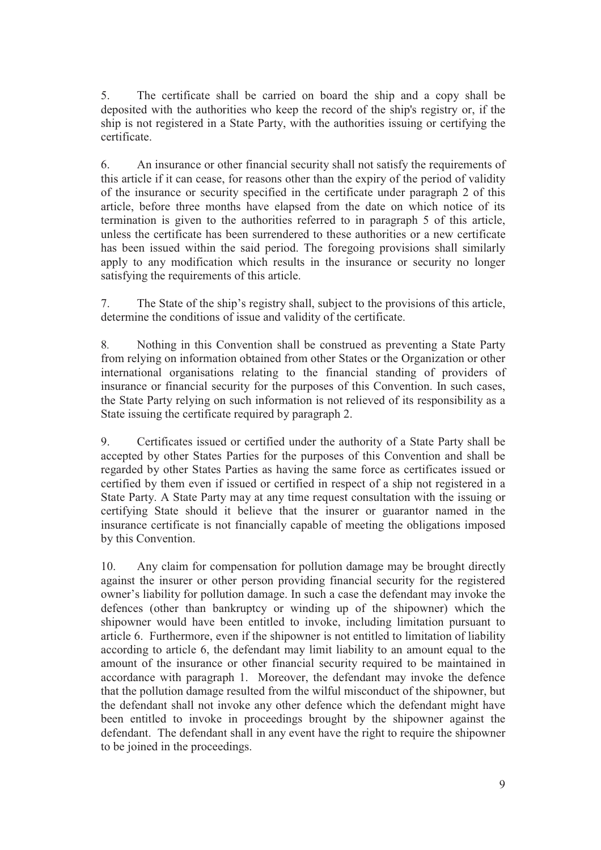5. The certificate shall be carried on board the ship and a copy shall be deposited with the authorities who keep the record of the ship's registry or, if the ship is not registered in a State Party, with the authorities issuing or certifying the certificate.

6. An insurance or other financial security shall not satisfy the requirements of this article if it can cease, for reasons other than the expiry of the period of validity of the insurance or security specified in the certificate under paragraph 2 of this article, before three months have elapsed from the date on which notice of its termination is given to the authorities referred to in paragraph 5 of this article, unless the certificate has been surrendered to these authorities or a new certificate has been issued within the said period. The foregoing provisions shall similarly apply to any modification which results in the insurance or security no longer satisfying the requirements of this article.

7. The State of the ship's registry shall, subject to the provisions of this article, determine the conditions of issue and validity of the certificate.

8*.* Nothing in this Convention shall be construed as preventing a State Party from relying on information obtained from other States or the Organization or other international organisations relating to the financial standing of providers of insurance or financial security for the purposes of this Convention. In such cases, the State Party relying on such information is not relieved of its responsibility as a State issuing the certificate required by paragraph 2.

9. Certificates issued or certified under the authority of a State Party shall be accepted by other States Parties for the purposes of this Convention and shall be regarded by other States Parties as having the same force as certificates issued or certified by them even if issued or certified in respect of a ship not registered in a State Party. A State Party may at any time request consultation with the issuing or certifying State should it believe that the insurer or guarantor named in the insurance certificate is not financially capable of meeting the obligations imposed by this Convention.

10. Any claim for compensation for pollution damage may be brought directly against the insurer or other person providing financial security for the registered owner's liability for pollution damage. In such a case the defendant may invoke the defences (other than bankruptcy or winding up of the shipowner) which the shipowner would have been entitled to invoke, including limitation pursuant to article 6. Furthermore, even if the shipowner is not entitled to limitation of liability according to article 6, the defendant may limit liability to an amount equal to the amount of the insurance or other financial security required to be maintained in accordance with paragraph 1. Moreover, the defendant may invoke the defence that the pollution damage resulted from the wilful misconduct of the shipowner, but the defendant shall not invoke any other defence which the defendant might have been entitled to invoke in proceedings brought by the shipowner against the defendant. The defendant shall in any event have the right to require the shipowner to be joined in the proceedings.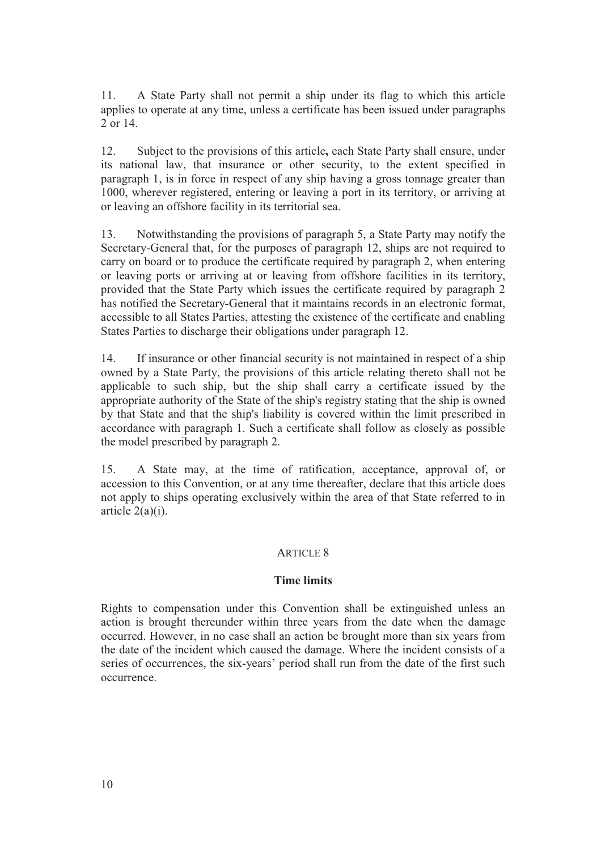11. A State Party shall not permit a ship under its flag to which this article applies to operate at any time, unless a certificate has been issued under paragraphs 2 or 14.

12. Subject to the provisions of this article**,** each State Party shall ensure, under its national law, that insurance or other security, to the extent specified in paragraph 1, is in force in respect of any ship having a gross tonnage greater than 1000, wherever registered, entering or leaving a port in its territory, or arriving at or leaving an offshore facility in its territorial sea.

13.Notwithstanding the provisions of paragraph 5, a State Party may notify the Secretary-General that, for the purposes of paragraph 12, ships are not required to carry on board or to produce the certificate required by paragraph 2, when entering or leaving ports or arriving at or leaving from offshore facilities in its territory, provided that the State Party which issues the certificate required by paragraph 2 has notified the Secretary-General that it maintains records in an electronic format, accessible to all States Parties, attesting the existence of the certificate and enabling States Parties to discharge their obligations under paragraph 12.

14. If insurance or other financial security is not maintained in respect of a ship owned by a State Party, the provisions of this article relating thereto shall not be applicable to such ship, but the ship shall carry a certificate issued by the appropriate authority of the State of the ship's registry stating that the ship is owned by that State and that the ship's liability is covered within the limit prescribed in accordance with paragraph 1. Such a certificate shall follow as closely as possible the model prescribed by paragraph 2.

15. A State may, at the time of ratification, acceptance, approval of, or accession to this Convention, or at any time thereafter, declare that this article does not apply to ships operating exclusively within the area of that State referred to in article 2(a)(i).

#### ARTICLE 8

#### **Time limits**

Rights to compensation under this Convention shall be extinguished unless an action is brought thereunder within three years from the date when the damage occurred. However, in no case shall an action be brought more than six years from the date of the incident which caused the damage. Where the incident consists of a series of occurrences, the six-years' period shall run from the date of the first such occurrence.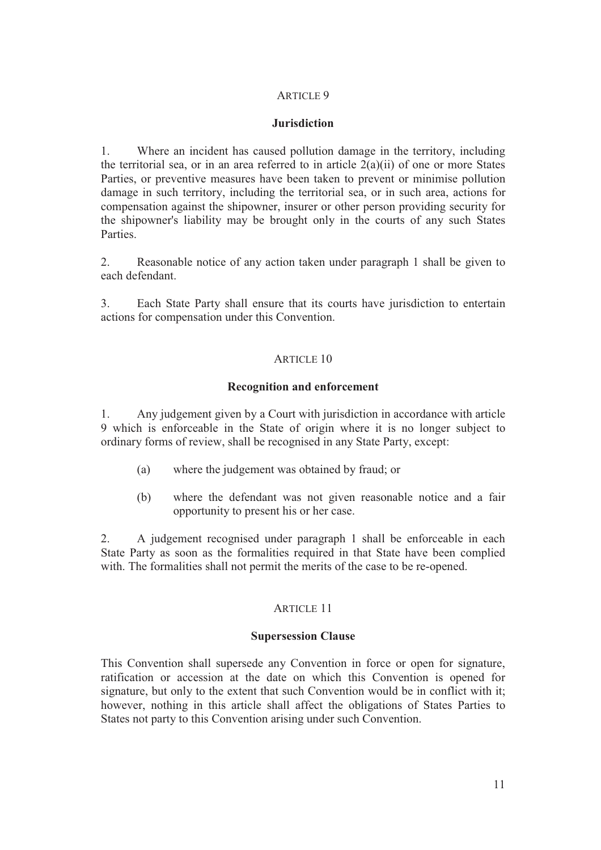# **Jurisdiction**

1. Where an incident has caused pollution damage in the territory, including the territorial sea, or in an area referred to in article  $2(a)(ii)$  of one or more States Parties, or preventive measures have been taken to prevent or minimise pollution damage in such territory, including the territorial sea, or in such area, actions for compensation against the shipowner, insurer or other person providing security for the shipowner's liability may be brought only in the courts of any such States Parties.

2. Reasonable notice of any action taken under paragraph 1 shall be given to each defendant.

3. Each State Party shall ensure that its courts have jurisdiction to entertain actions for compensation under this Convention.

# ARTICLE 10

# **Recognition and enforcement**

1. Any judgement given by a Court with jurisdiction in accordance with article 9 which is enforceable in the State of origin where it is no longer subject to ordinary forms of review, shall be recognised in any State Party, except:

- (a) where the judgement was obtained by fraud; or
- (b) where the defendant was not given reasonable notice and a fair opportunity to present his or her case.

2. A judgement recognised under paragraph 1 shall be enforceable in each State Party as soon as the formalities required in that State have been complied with. The formalities shall not permit the merits of the case to be re-opened.

#### ARTICLE 11

#### **Supersession Clause**

This Convention shall supersede any Convention in force or open for signature, ratification or accession at the date on which this Convention is opened for signature, but only to the extent that such Convention would be in conflict with it; however, nothing in this article shall affect the obligations of States Parties to States not party to this Convention arising under such Convention.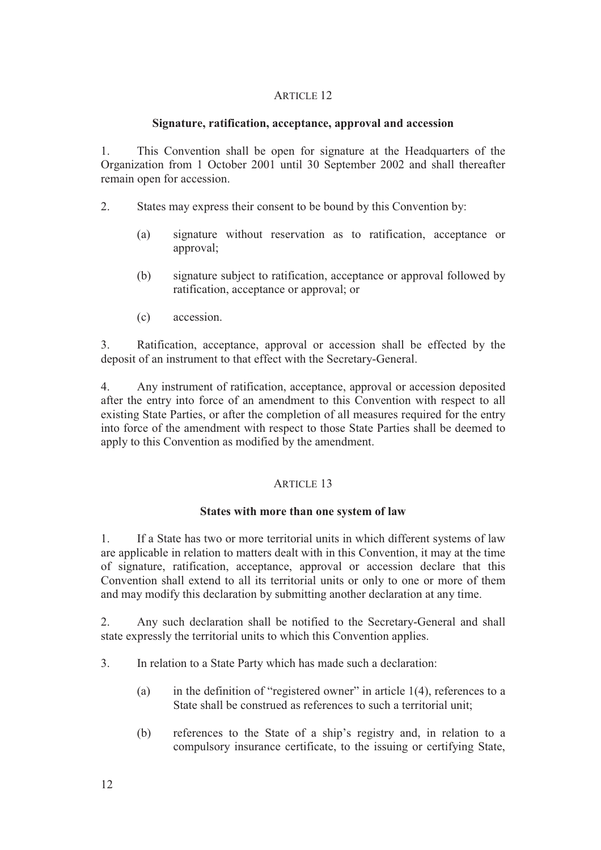#### **Signature, ratification, acceptance, approval and accession**

1. This Convention shall be open for signature at the Headquarters of the Organization from 1 October 2001 until 30 September 2002 and shall thereafter remain open for accession.

- 2. States may express their consent to be bound by this Convention by:
	- (a) signature without reservation as to ratification, acceptance or approval;
	- (b) signature subject to ratification, acceptance or approval followed by ratification, acceptance or approval; or
	- (c) accession.

3. Ratification, acceptance, approval or accession shall be effected by the deposit of an instrument to that effect with the Secretary-General.

4. Any instrument of ratification, acceptance, approval or accession deposited after the entry into force of an amendment to this Convention with respect to all existing State Parties, or after the completion of all measures required for the entry into force of the amendment with respect to those State Parties shall be deemed to apply to this Convention as modified by the amendment.

#### ARTICLE 13

#### **States with more than one system of law**

1. If a State has two or more territorial units in which different systems of law are applicable in relation to matters dealt with in this Convention, it may at the time of signature, ratification, acceptance, approval or accession declare that this Convention shall extend to all its territorial units or only to one or more of them and may modify this declaration by submitting another declaration at any time.

2. Any such declaration shall be notified to the Secretary-General and shall state expressly the territorial units to which this Convention applies.

- 3. In relation to a State Party which has made such a declaration:
	- (a) in the definition of "registered owner" in article  $1(4)$ , references to a State shall be construed as references to such a territorial unit;
	- (b) references to the State of a ship's registry and, in relation to a compulsory insurance certificate, to the issuing or certifying State,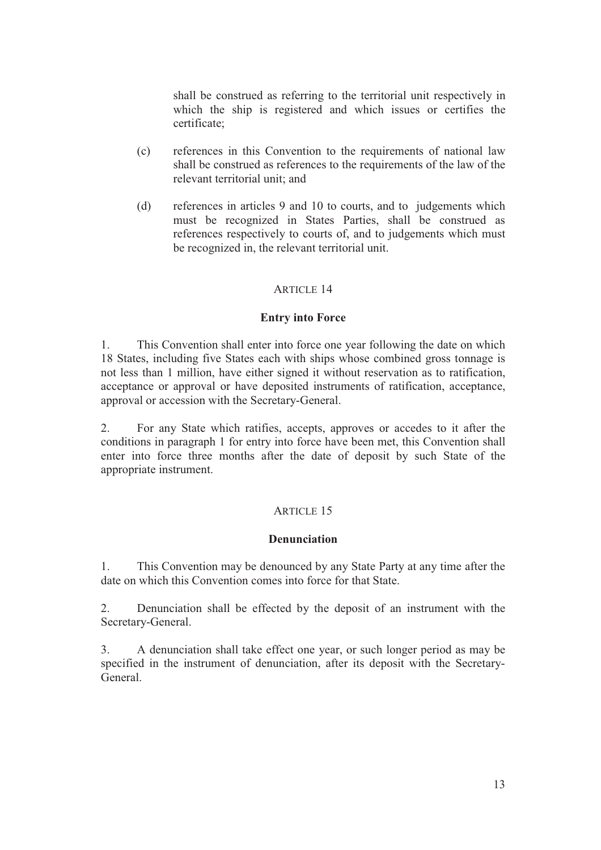shall be construed as referring to the territorial unit respectively in which the ship is registered and which issues or certifies the certificate;

- (c) references in this Convention to the requirements of national law shall be construed as references to the requirements of the law of the relevant territorial unit; and
- (d) references in articles 9 and 10 to courts, and to judgements which must be recognized in States Parties, shall be construed as references respectively to courts of, and to judgements which must be recognized in, the relevant territorial unit.

#### ARTICLE 14

#### **Entry into Force**

1. This Convention shall enter into force one year following the date on which 18 States, including five States each with ships whose combined gross tonnage is not less than 1 million, have either signed it without reservation as to ratification, acceptance or approval or have deposited instruments of ratification, acceptance, approval or accession with the Secretary-General.

2. For any State which ratifies, accepts, approves or accedes to it after the conditions in paragraph 1 for entry into force have been met, this Convention shall enter into force three months after the date of deposit by such State of the appropriate instrument.

#### ARTICLE 15

#### **Denunciation**

1. This Convention may be denounced by any State Party at any time after the date on which this Convention comes into force for that State.

2. Denunciation shall be effected by the deposit of an instrument with the Secretary-General.

3. A denunciation shall take effect one year, or such longer period as may be specified in the instrument of denunciation, after its deposit with the Secretary-General.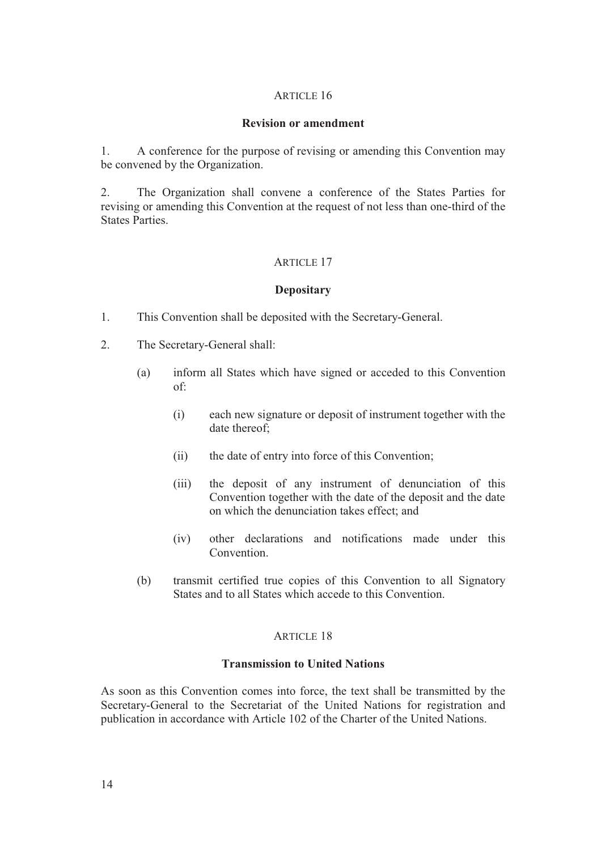#### **Revision or amendment**

1. A conference for the purpose of revising or amending this Convention may be convened by the Organization.

2. The Organization shall convene a conference of the States Parties for revising or amending this Convention at the request of not less than one-third of the States Parties.

#### ARTICLE 17

#### **Depositary**

- 1. This Convention shall be deposited with the Secretary-General.
- 2. The Secretary-General shall:
	- (a) inform all States which have signed or acceded to this Convention of:
		- (i) each new signature or deposit of instrument together with the date thereof;
		- (ii) the date of entry into force of this Convention;
		- (iii) the deposit of any instrument of denunciation of this Convention together with the date of the deposit and the date on which the denunciation takes effect; and
		- (iv) other declarations and notifications made under this Convention.
	- (b) transmit certified true copies of this Convention to all Signatory States and to all States which accede to this Convention.

# ARTICLE 18

# **Transmission to United Nations**

As soon as this Convention comes into force, the text shall be transmitted by the Secretary-General to the Secretariat of the United Nations for registration and publication in accordance with Article 102 of the Charter of the United Nations.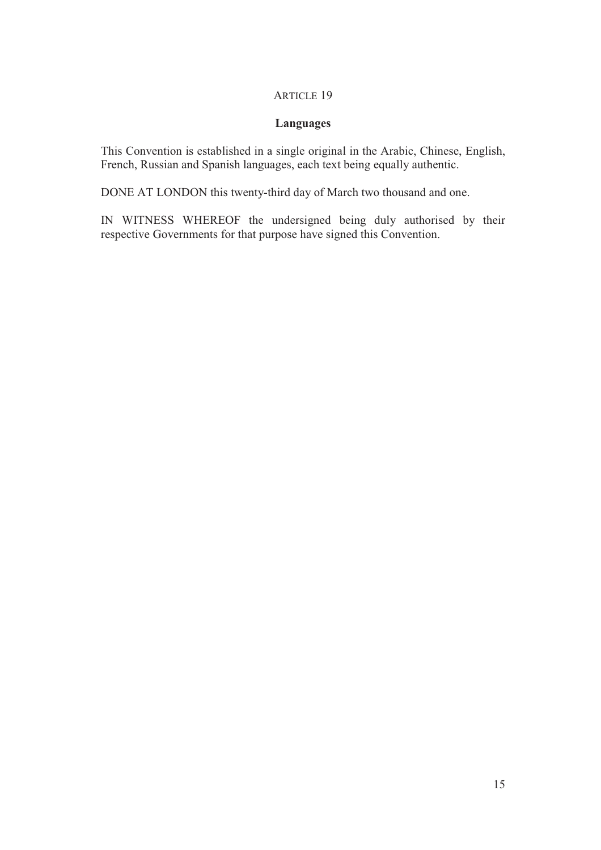# **Languages**

This Convention is established in a single original in the Arabic, Chinese, English, French, Russian and Spanish languages, each text being equally authentic.

DONE AT LONDON this twenty-third day of March two thousand and one.

IN WITNESS WHEREOF the undersigned being duly authorised by their respective Governments for that purpose have signed this Convention.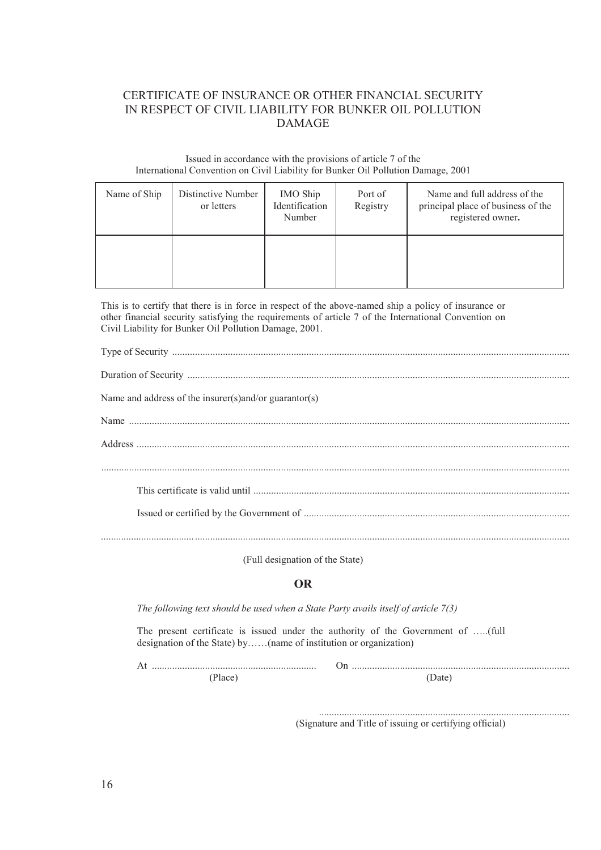# CERTIFICATE OF INSURANCE OR OTHER FINANCIAL SECURITY IN RESPECT OF CIVIL LIABILITY FOR BUNKER OIL POLLUTION DAMAGE

#### Issued in accordance with the provisions of article 7 of the International Convention on Civil Liability for Bunker Oil Pollution Damage, 2001

| Name of Ship | Distinctive Number<br>or letters | <b>IMO</b> Ship<br>Identification<br>Number | Port of<br>Registry | Name and full address of the<br>principal place of business of the<br>registered owner. |
|--------------|----------------------------------|---------------------------------------------|---------------------|-----------------------------------------------------------------------------------------|
|              |                                  |                                             |                     |                                                                                         |

This is to certify that there is in force in respect of the above-named ship a policy of insurance or other financial security satisfying the requirements of article 7 of the International Convention on Civil Liability for Bunker Oil Pollution Damage, 2001.

| Name and address of the insurer(s)and/or guarantor(s) |
|-------------------------------------------------------|
|                                                       |
|                                                       |
|                                                       |
|                                                       |
|                                                       |

(Full designation of the State)

#### **OR**

*The following text should be used when a State Party avails itself of article 7(3)* 

The present certificate is issued under the authority of the Government of …..(full designation of the State) by……(name of institution or organization)

 At ................................................................. On ...................................................................................... (Place) (Date)

> ................................................................................................... (Signature and Title of issuing or certifying official)